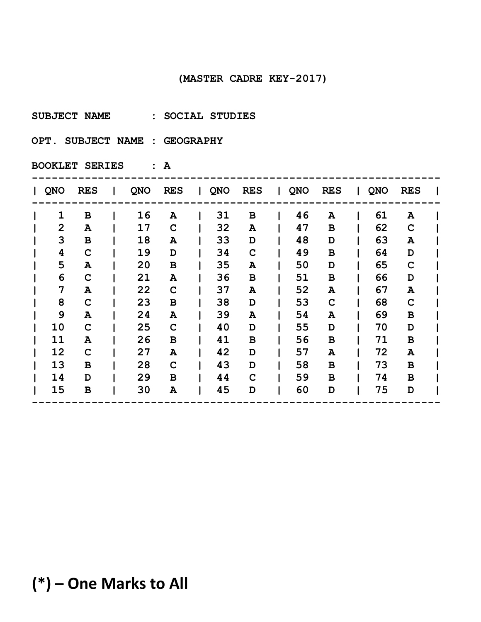**SUBJECT NAME : SOCIAL STUDIES** 

**OPT. SUBJECT NAME : GEOGRAPHY** 

**BOOKLET SERIES : A**

| QNO<br><b>RES</b><br><b>RES</b><br><b>RES</b><br>QNO<br><b>RES</b><br>QNO<br><b>QNO</b><br><b>RES</b><br>QNO<br>$\mathbf{L}$<br>$\mathbf{1}$<br>31<br>46<br>61<br>$\, {\bf B}$<br>16<br>A<br>B<br>A<br>A<br>$\overline{2}$<br>32<br>62<br>17<br>47<br>$\mathbf C$<br>C<br>A<br>в<br>A<br>3<br>33<br>48<br>63<br>18<br>B<br>A<br>D<br>D<br>Α<br>64<br>19<br>34<br>49<br>4<br>$\mathbf C$<br>$\mathbf C$<br>в<br>D<br>D<br>5<br>20<br>35<br>50<br>65<br>$\mathbf C$<br>A<br>В<br>D<br>A<br>66<br>6<br>36<br>51<br>21<br>$\mathbf C$<br>B<br>в<br>D<br>Α<br>7<br>22<br>52<br>67<br>37<br>A<br>A<br>C<br>A<br>A<br>8<br>53<br>68<br>$\mathbf C$<br>23<br>38<br>$\mathbf C$<br>$\mathbf C$<br>В<br>D<br>9<br>39<br>54<br>69<br>24<br>$\, {\bf B}$<br>A<br>A<br>A<br>Α<br>10<br>25<br>40<br>55<br>70<br>$\mathbf C$<br>C<br>D<br>D<br>D<br>56<br>11<br>26<br>41<br>71<br>$\mathbf B$<br>$\, {\bf B}$<br>A<br>В<br>B<br>12<br>27<br>42<br>57<br>72<br>$\mathbf C$<br>D<br>A<br>A<br>Α<br>13<br>28<br>43<br>58<br>73<br>B<br>C<br>D<br>в<br>B<br>44<br>14<br>29<br>59<br>74<br>C<br>B<br>D<br>B<br>В<br>45<br>60<br>75<br>15<br>30<br>B<br>D<br>D<br>Α<br>D |  |  |  |  |  |  |  |  |
|-----------------------------------------------------------------------------------------------------------------------------------------------------------------------------------------------------------------------------------------------------------------------------------------------------------------------------------------------------------------------------------------------------------------------------------------------------------------------------------------------------------------------------------------------------------------------------------------------------------------------------------------------------------------------------------------------------------------------------------------------------------------------------------------------------------------------------------------------------------------------------------------------------------------------------------------------------------------------------------------------------------------------------------------------------------------------------------------------------------------------------------------------------|--|--|--|--|--|--|--|--|
|                                                                                                                                                                                                                                                                                                                                                                                                                                                                                                                                                                                                                                                                                                                                                                                                                                                                                                                                                                                                                                                                                                                                                     |  |  |  |  |  |  |  |  |
|                                                                                                                                                                                                                                                                                                                                                                                                                                                                                                                                                                                                                                                                                                                                                                                                                                                                                                                                                                                                                                                                                                                                                     |  |  |  |  |  |  |  |  |
|                                                                                                                                                                                                                                                                                                                                                                                                                                                                                                                                                                                                                                                                                                                                                                                                                                                                                                                                                                                                                                                                                                                                                     |  |  |  |  |  |  |  |  |
|                                                                                                                                                                                                                                                                                                                                                                                                                                                                                                                                                                                                                                                                                                                                                                                                                                                                                                                                                                                                                                                                                                                                                     |  |  |  |  |  |  |  |  |
|                                                                                                                                                                                                                                                                                                                                                                                                                                                                                                                                                                                                                                                                                                                                                                                                                                                                                                                                                                                                                                                                                                                                                     |  |  |  |  |  |  |  |  |
|                                                                                                                                                                                                                                                                                                                                                                                                                                                                                                                                                                                                                                                                                                                                                                                                                                                                                                                                                                                                                                                                                                                                                     |  |  |  |  |  |  |  |  |
|                                                                                                                                                                                                                                                                                                                                                                                                                                                                                                                                                                                                                                                                                                                                                                                                                                                                                                                                                                                                                                                                                                                                                     |  |  |  |  |  |  |  |  |
|                                                                                                                                                                                                                                                                                                                                                                                                                                                                                                                                                                                                                                                                                                                                                                                                                                                                                                                                                                                                                                                                                                                                                     |  |  |  |  |  |  |  |  |
|                                                                                                                                                                                                                                                                                                                                                                                                                                                                                                                                                                                                                                                                                                                                                                                                                                                                                                                                                                                                                                                                                                                                                     |  |  |  |  |  |  |  |  |
|                                                                                                                                                                                                                                                                                                                                                                                                                                                                                                                                                                                                                                                                                                                                                                                                                                                                                                                                                                                                                                                                                                                                                     |  |  |  |  |  |  |  |  |
|                                                                                                                                                                                                                                                                                                                                                                                                                                                                                                                                                                                                                                                                                                                                                                                                                                                                                                                                                                                                                                                                                                                                                     |  |  |  |  |  |  |  |  |
|                                                                                                                                                                                                                                                                                                                                                                                                                                                                                                                                                                                                                                                                                                                                                                                                                                                                                                                                                                                                                                                                                                                                                     |  |  |  |  |  |  |  |  |
|                                                                                                                                                                                                                                                                                                                                                                                                                                                                                                                                                                                                                                                                                                                                                                                                                                                                                                                                                                                                                                                                                                                                                     |  |  |  |  |  |  |  |  |
|                                                                                                                                                                                                                                                                                                                                                                                                                                                                                                                                                                                                                                                                                                                                                                                                                                                                                                                                                                                                                                                                                                                                                     |  |  |  |  |  |  |  |  |
|                                                                                                                                                                                                                                                                                                                                                                                                                                                                                                                                                                                                                                                                                                                                                                                                                                                                                                                                                                                                                                                                                                                                                     |  |  |  |  |  |  |  |  |
|                                                                                                                                                                                                                                                                                                                                                                                                                                                                                                                                                                                                                                                                                                                                                                                                                                                                                                                                                                                                                                                                                                                                                     |  |  |  |  |  |  |  |  |
|                                                                                                                                                                                                                                                                                                                                                                                                                                                                                                                                                                                                                                                                                                                                                                                                                                                                                                                                                                                                                                                                                                                                                     |  |  |  |  |  |  |  |  |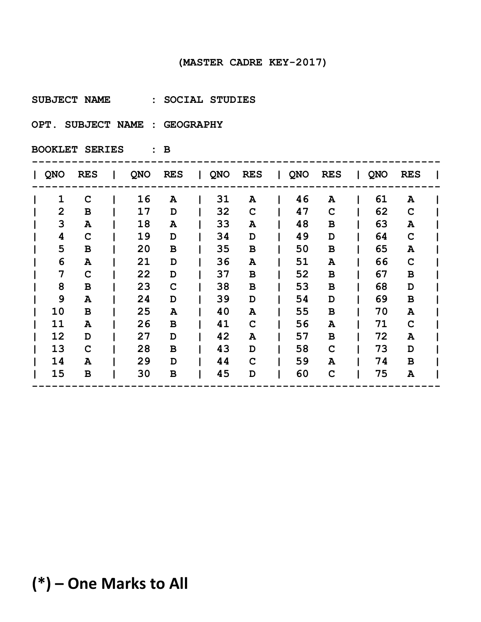**SUBJECT NAME : SOCIAL STUDIES** 

**OPT. SUBJECT NAME : GEOGRAPHY** 

**BOOKLET SERIES : B**

| QNO            | <b>RES</b>   | QNO | <b>RES</b> | $\mathbf{L}$ | QNO | <b>RES</b>   | QNO | <b>RES</b>  | QNO | <b>RES</b>  |  |
|----------------|--------------|-----|------------|--------------|-----|--------------|-----|-------------|-----|-------------|--|
| $\mathbf{1}$   | $\mathbf C$  | 16  | A          |              | 31  | A            | 46  | A           | 61  | A           |  |
| $\overline{2}$ | B            | 17  | D          |              | 32  | $\mathbf C$  | 47  | C           | 62  | $\mathbf C$ |  |
| 3              | A            | 18  | A          |              | 33  | Α            | 48  | в           | 63  | ${\bf A}$   |  |
| 4              | $\mathbf C$  | 19  | D          |              | 34  | D            | 49  | D           | 64  | $\mathbf C$ |  |
| 5              | В            | 20  | В          |              | 35  | В            | 50  | в           | 65  | A           |  |
| 6              | A            | 21  | D          |              | 36  | A            | 51  | A           | 66  | $\mathbf C$ |  |
| 7              | $\mathbf C$  | 22  | D          |              | 37  | В            | 52  | в           | 67  | $\mathbf B$ |  |
| 8              | $\, {\bf B}$ | 23  | C          |              | 38  | $\, {\bf B}$ | 53  | $\mathbf B$ | 68  | D           |  |
| 9              | A            | 24  | D          |              | 39  | D            | 54  | D           | 69  | B           |  |
| 10             | B            | 25  | A          |              | 40  | A            | 55  | в           | 70  | A           |  |
| 11             | A            | 26  | в          |              | 41  | $\mathbf C$  | 56  | A           | 71  | $\mathbf C$ |  |
| 12             | D            | 27  | D          |              | 42  | A            | 57  | в           | 72  | A           |  |
| 13             | $\mathbf C$  | 28  | B          |              | 43  | D            | 58  | $\mathbf C$ | 73  | D           |  |
| 14             | A            | 29  | D          |              | 44  | C            | 59  | A           | 74  | B           |  |
| 15             | B            | 30  | в          |              | 45  | D            | 60  | $\mathbf C$ | 75  | A           |  |
|                |              |     |            |              |     |              |     |             |     |             |  |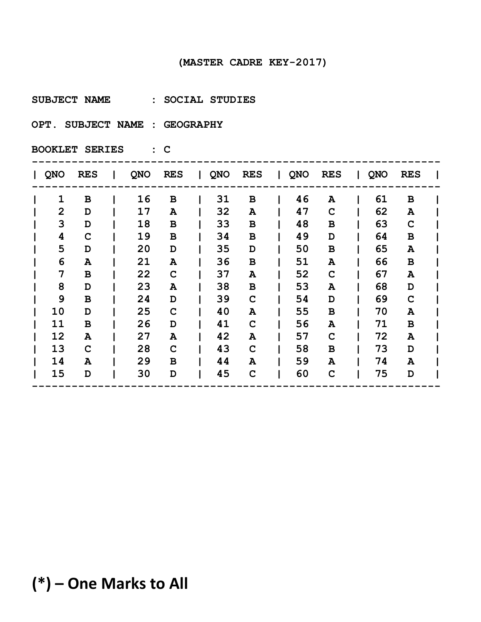**SUBJECT NAME : SOCIAL STUDIES** 

**OPT. SUBJECT NAME : GEOGRAPHY** 

**BOOKLET SERIES : C**

| <b>QNO</b>     | <b>RES</b>   | QNO | <b>RES</b>  | $\mathbf{I}$ | QNO | <b>RES</b>  | QNO | <b>RES</b>  | QNO | <b>RES</b>   |  |
|----------------|--------------|-----|-------------|--------------|-----|-------------|-----|-------------|-----|--------------|--|
| 1              | B            | 16  | B           |              | 31  | В           | 46  | A           | 61  | B            |  |
| $\overline{2}$ | D            | 17  | A           |              | 32  | A           | 47  | $\mathbf C$ | 62  | ${\bf A}$    |  |
| 3              | D            | 18  | В           |              | 33  | В           | 48  | B           | 63  | $\mathbf C$  |  |
| 4              | C            | 19  | B           |              | 34  | В           | 49  | D           | 64  | $\mathbf B$  |  |
| 5              | D            | 20  | D           |              | 35  | D           | 50  | B           | 65  | A            |  |
| 6              | A            | 21  | A           |              | 36  | $\mathbf B$ | 51  | A           | 66  | $\, {\bf B}$ |  |
| 7              | $\, {\bf B}$ | 22  | $\mathbf C$ |              | 37  | A           | 52  | $\mathbf C$ | 67  | A            |  |
| 8              | D            | 23  | A           |              | 38  | $\mathbf B$ | 53  | A           | 68  | D            |  |
| 9              | B            | 24  | D           |              | 39  | $\mathbf C$ | 54  | D           | 69  | $\mathbf C$  |  |
| 10             | D            | 25  | $\mathbf C$ |              | 40  | A           | 55  | B           | 70  | A            |  |
| 11             | B            | 26  | D           |              | 41  | $\mathbf C$ | 56  | A           | 71  | $\mathbf B$  |  |
| 12             | A            | 27  | Α           |              | 42  | A           | 57  | $\mathbf C$ | 72  | A            |  |
| 13             | C            | 28  | $\mathbf C$ |              | 43  | C           | 58  | B           | 73  | D            |  |
| 14             | A            | 29  | B           |              | 44  | A           | 59  | A           | 74  | A            |  |
| 15             | D            | 30  | D           |              | 45  | C           | 60  | $\mathbf C$ | 75  | D            |  |
|                |              |     |             |              |     |             |     |             |     |              |  |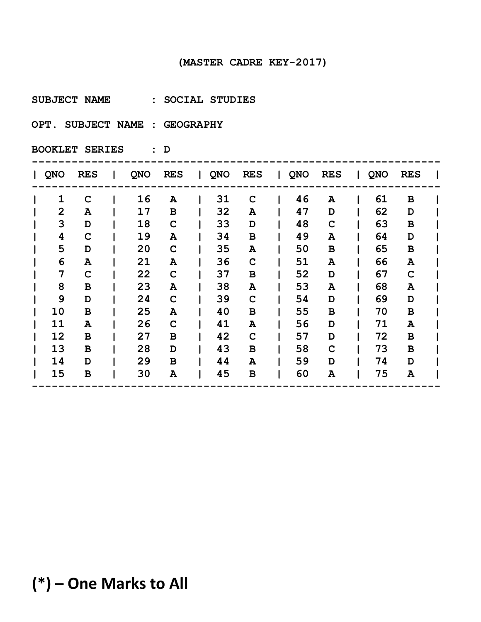**SUBJECT NAME : SOCIAL STUDIES** 

**OPT. SUBJECT NAME : GEOGRAPHY** 

**BOOKLET SERIES : D**

| QNO            | <b>RES</b>   | QNO | <b>RES</b> | $\mathbf{I}$ | QNO | <b>RES</b>   | QNO | <b>RES</b>  | QNO | <b>RES</b>   |  |
|----------------|--------------|-----|------------|--------------|-----|--------------|-----|-------------|-----|--------------|--|
| $\mathbf{1}$   | $\mathbf C$  | 16  | A          |              | 31  | C            | 46  | A           | 61  | B            |  |
| $\overline{2}$ | A            | 17  | В          |              | 32  | A            | 47  | D           | 62  | D            |  |
| 3              | D            | 18  | C          |              | 33  | D            | 48  | $\mathbf C$ | 63  | $\, {\bf B}$ |  |
| 4              | C            | 19  | Α          |              | 34  | $\, {\bf B}$ | 49  | A           | 64  | D            |  |
| 5              | D            | 20  | C          |              | 35  | A            | 50  | в           | 65  | $\, {\bf B}$ |  |
| 6              | A            | 21  | Α          |              | 36  | $\mathbf C$  | 51  | A           | 66  | ${\bf A}$    |  |
| 7              | C            | 22  | C          |              | 37  | В            | 52  | D           | 67  | $\mathbf C$  |  |
| 8              | $\, {\bf B}$ | 23  | Α          |              | 38  | A            | 53  | A           | 68  | ${\bf A}$    |  |
| 9              | D            | 24  | C          |              | 39  | $\mathbf C$  | 54  | D           | 69  | D            |  |
| 10             | B            | 25  | Α          |              | 40  | В            | 55  | В           | 70  | $\, {\bf B}$ |  |
| 11             | A            | 26  | C          |              | 41  | A            | 56  | D           | 71  | A            |  |
| 12             | B            | 27  | в          |              | 42  | $\mathbf C$  | 57  | D           | 72  | B            |  |
| 13             | B            | 28  | D          |              | 43  | B            | 58  | $\mathbf C$ | 73  | B            |  |
| 14             | D            | 29  | B          |              | 44  | A            | 59  | D           | 74  | D            |  |
| 15             | B            | 30  | Α          |              | 45  | B            | 60  | Α           | 75  | A            |  |
|                |              |     |            |              |     |              |     |             |     |              |  |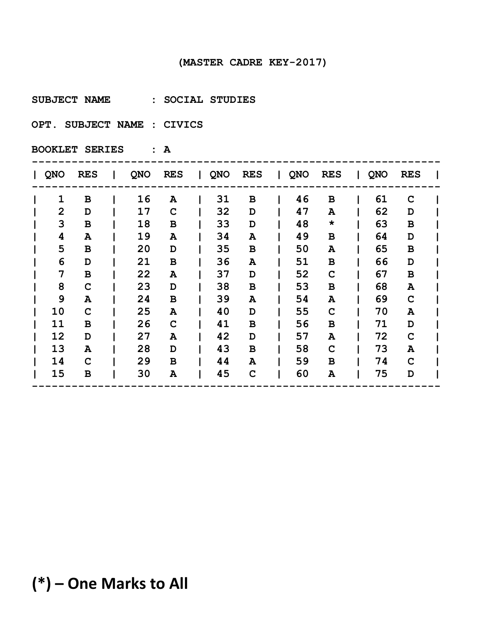**SUBJECT NAME : SOCIAL STUDIES** 

**OPT. SUBJECT NAME : CIVICS** 

**BOOKLET SERIES : A**

| QNO            | <b>RES</b>   | QNO | <b>RES</b> | $\mathbf{L}$ | QNO | <b>RES</b>   | QNO | <b>RES</b>  | QNO | <b>RES</b>   |  |
|----------------|--------------|-----|------------|--------------|-----|--------------|-----|-------------|-----|--------------|--|
| $\mathbf{1}$   | B            | 16  | A          |              | 31  | B            | 46  | в           | 61  | C            |  |
| $\overline{2}$ | D            | 17  | C          |              | 32  | D            | 47  | A           | 62  | D            |  |
| 3              | $\, {\bf B}$ | 18  | В          |              | 33  | D            | 48  | $\star$     | 63  | $\, {\bf B}$ |  |
| 4              | A            | 19  | A          |              | 34  | A            | 49  | в           | 64  | D            |  |
| 5              | B            | 20  | D          |              | 35  | B            | 50  | A           | 65  | $\, {\bf B}$ |  |
| 6              | D            | 21  | В          |              | 36  | A            | 51  | в           | 66  | D            |  |
| 7              | $\, {\bf B}$ | 22  | Α          |              | 37  | D            | 52  | $\mathbf C$ | 67  | $\, {\bf B}$ |  |
| 8              | $\mathbf C$  | 23  | D          |              | 38  | $\, {\bf B}$ | 53  | в           | 68  | ${\bf A}$    |  |
| 9              | A            | 24  | B          |              | 39  | A            | 54  | A           | 69  | $\mathbf C$  |  |
| 10             | C            | 25  | Α          |              | 40  | D            | 55  | C           | 70  | A            |  |
| 11             | B            | 26  | C          |              | 41  | B            | 56  | в           | 71  | D            |  |
| 12             | D            | 27  | Α          |              | 42  | D            | 57  | A           | 72  | $\mathbf C$  |  |
| 13             | A            | 28  | D          |              | 43  | B            | 58  | $\mathbf C$ | 73  | A            |  |
| 14             | C            | 29  | B          |              | 44  | A            | 59  | в           | 74  | C            |  |
| 15             | B            | 30  | Α          |              | 45  | $\mathbf C$  | 60  | A           | 75  | D            |  |
|                |              |     |            |              |     |              |     |             |     |              |  |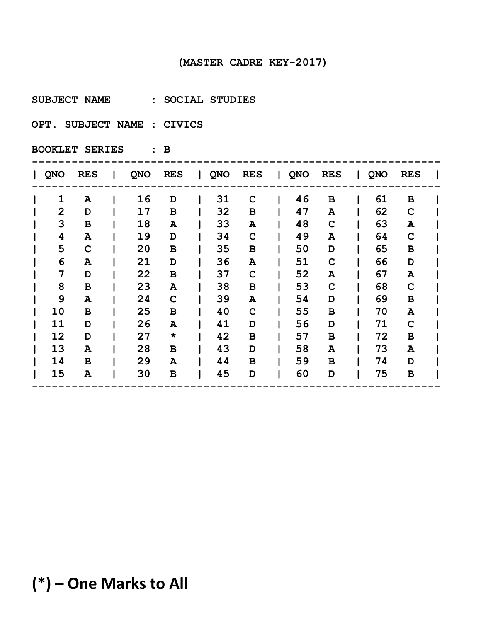**SUBJECT NAME : SOCIAL STUDIES** 

**OPT. SUBJECT NAME : CIVICS** 

**BOOKLET SERIES : B**

| QNO            | <b>RES</b>   | QNO | <b>RES</b> | $\mathbf{I}$ | QNO | <b>RES</b>  | QNO | <b>RES</b>  | QNO | <b>RES</b>  |  |
|----------------|--------------|-----|------------|--------------|-----|-------------|-----|-------------|-----|-------------|--|
| $\mathbf{1}$   | A            | 16  | D          |              | 31  | C           | 46  | в           | 61  | B           |  |
| $\overline{2}$ | D            | 17  | В          |              | 32  | В           | 47  | A           | 62  | $\mathbf C$ |  |
| 3              | $\, {\bf B}$ | 18  | A          |              | 33  | A           | 48  | C           | 63  | ${\bf A}$   |  |
| 4              | A            | 19  | D          |              | 34  | $\mathbf C$ | 49  | A           | 64  | $\mathbf C$ |  |
| 5              | $\mathbf C$  | 20  | В          |              | 35  | В           | 50  | D           | 65  | B           |  |
| 6              | A            | 21  | D          |              | 36  | A           | 51  | $\mathbf C$ | 66  | D           |  |
| 7              | D            | 22  | В          |              | 37  | $\mathbf C$ | 52  | A           | 67  | A           |  |
| 8              | $\, {\bf B}$ | 23  | Α          |              | 38  | В           | 53  | $\mathbf C$ | 68  | $\mathbf C$ |  |
| 9              | A            | 24  | C          |              | 39  | A           | 54  | D           | 69  | B           |  |
| 10             | B            | 25  | В          |              | 40  | C           | 55  | В           | 70  | A           |  |
| 11             | D            | 26  | Α          |              | 41  | D           | 56  | D           | 71  | $\mathbf C$ |  |
| 12             | D            | 27  | $\star$    |              | 42  | B           | 57  | В           | 72  | $\mathbf B$ |  |
| 13             | A            | 28  | В          |              | 43  | D           | 58  | A           | 73  | A           |  |
| 14             | B            | 29  | Α          |              | 44  | В           | 59  | в           | 74  | D           |  |
| 15             | A            | 30  | в          |              | 45  | D           | 60  | D           | 75  | B           |  |
|                |              |     |            |              |     |             |     |             |     |             |  |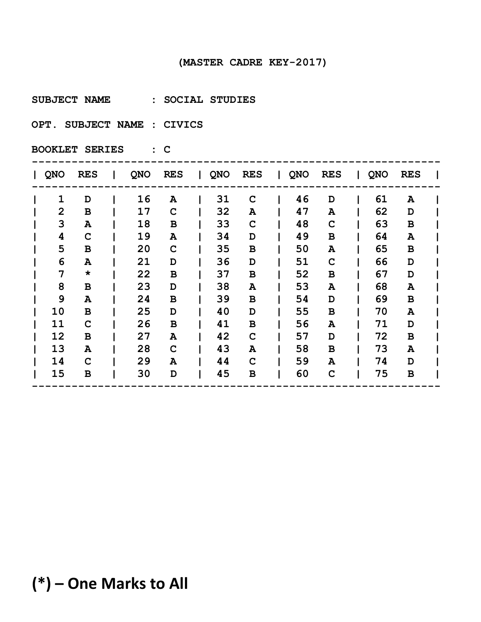**SUBJECT NAME : SOCIAL STUDIES** 

**OPT. SUBJECT NAME : CIVICS** 

**BOOKLET SERIES : C**

| QNO            | <b>RES</b>   | QNO | <b>RES</b> | $\mathbf{L}$ | QNO | <b>RES</b>  | QNO | <b>RES</b>  | QNO | <b>RES</b>   |  |
|----------------|--------------|-----|------------|--------------|-----|-------------|-----|-------------|-----|--------------|--|
| $\mathbf{1}$   | D            | 16  | A          |              | 31  | C           | 46  | D           | 61  | A            |  |
| $\overline{2}$ | $\, {\bf B}$ | 17  | C          |              | 32  | A           | 47  | A           | 62  | D            |  |
| 3              | A            | 18  | в          |              | 33  | $\mathbf C$ | 48  | C           | 63  | $\, {\bf B}$ |  |
| 4              | $\mathbf C$  | 19  | A          |              | 34  | D           | 49  | в           | 64  | A            |  |
| 5              | В            | 20  | C          |              | 35  | В           | 50  | A           | 65  | B            |  |
| 6              | A            | 21  | D          |              | 36  | D           | 51  | $\mathbf C$ | 66  | D            |  |
| 7              | $\star$      | 22  | B          |              | 37  | $\mathbf B$ | 52  | $\mathbf B$ | 67  | D            |  |
| 8              | $\, {\bf B}$ | 23  | D          |              | 38  | A           | 53  | A           | 68  | ${\bf A}$    |  |
| 9              | A            | 24  | B          |              | 39  | B           | 54  | D           | 69  | B            |  |
| 10             | B            | 25  | D          |              | 40  | D           | 55  | в           | 70  | A            |  |
| 11             | $\mathbf C$  | 26  | B          |              | 41  | B           | 56  | A           | 71  | D            |  |
| 12             | B            | 27  | Α          |              | 42  | $\mathbf C$ | 57  | D           | 72  | $\, {\bf B}$ |  |
| 13             | A            | 28  | C          |              | 43  | A           | 58  | в           | 73  | A            |  |
| 14             | C            | 29  | Α          |              | 44  | C           | 59  | A           | 74  | D            |  |
| 15             | B            | 30  | D          |              | 45  | B           | 60  | $\mathbf C$ | 75  | B            |  |
|                |              |     |            |              |     |             |     |             |     |              |  |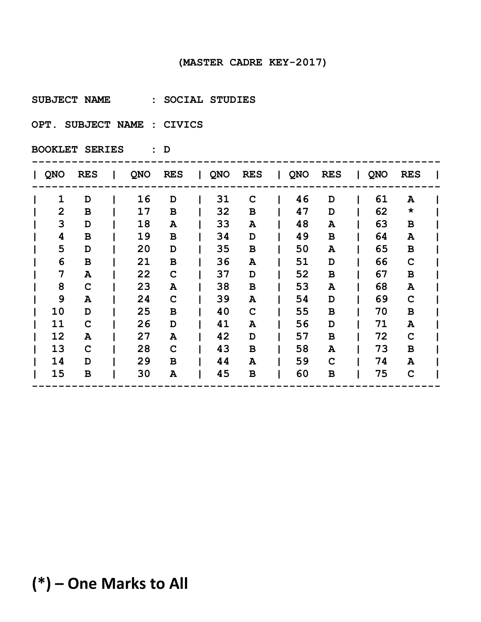**SUBJECT NAME : SOCIAL STUDIES** 

**OPT. SUBJECT NAME : CIVICS** 

**BOOKLET SERIES : D**

| <b>QNO</b>     | <b>RES</b>  | QNO | <b>RES</b>  | $\sim 10^{-11}$ | QNO | <b>RES</b>  | QNO | <b>RES</b>   | QNO | <b>RES</b>   |  |
|----------------|-------------|-----|-------------|-----------------|-----|-------------|-----|--------------|-----|--------------|--|
| $\mathbf{1}$   | D           | 16  | D           |                 | 31  | C           | 46  | D            | 61  | A            |  |
| $\overline{2}$ | B           | 17  | В           |                 | 32  | B           | 47  | D            | 62  | $\star$      |  |
| 3              | D           | 18  | A           |                 | 33  | A           | 48  | A            | 63  | $\, {\bf B}$ |  |
| 4              | В           | 19  | B           |                 | 34  | D           | 49  | B            | 64  | A            |  |
| 5              | D           | 20  | D           |                 | 35  | В           | 50  | A            | 65  | $\mathbf B$  |  |
| 6              | $\mathbf B$ | 21  | В           |                 | 36  | A           | 51  | D            | 66  | $\mathbf C$  |  |
| 7              | A           | 22  | $\mathbf C$ |                 | 37  | D           | 52  | $\, {\bf B}$ | 67  | $\, {\bf B}$ |  |
| 8              | $\mathbf C$ | 23  | A           |                 | 38  | $\mathbf B$ | 53  | A            | 68  | ${\bf A}$    |  |
| 9              | A           | 24  | $\mathbf C$ |                 | 39  | A           | 54  | D            | 69  | $\mathbf C$  |  |
| 10             | D           | 25  | B           |                 | 40  | C           | 55  | B            | 70  | B            |  |
| 11             | $\mathbf C$ | 26  | D           |                 | 41  | A           | 56  | D            | 71  | ${\bf A}$    |  |
| 12             | A           | 27  | Α           |                 | 42  | D           | 57  | B            | 72  | $\mathbf C$  |  |
| 13             | C           | 28  | $\mathbf C$ |                 | 43  | В           | 58  | A            | 73  | B            |  |
| 14             | D           | 29  | B           |                 | 44  | A           | 59  | $\mathbf C$  | 74  | A            |  |
| 15             | B           | 30  | A           |                 | 45  | B           | 60  | B            | 75  | $\mathbf C$  |  |
|                |             |     |             |                 |     |             |     |              |     |              |  |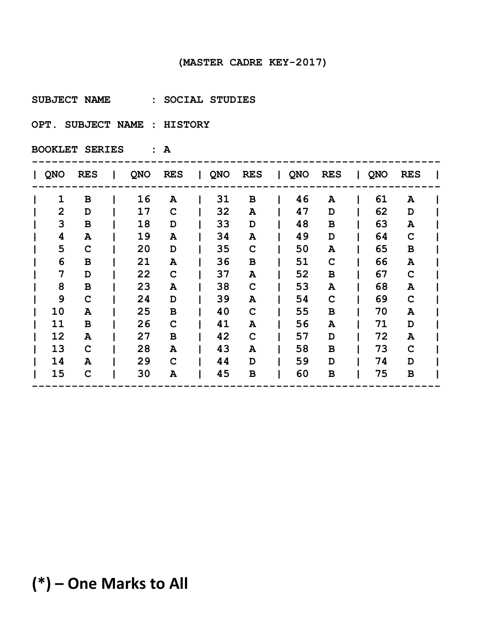**SUBJECT NAME : SOCIAL STUDIES** 

**OPT. SUBJECT NAME : HISTORY** 

**BOOKLET SERIES : A**

| <b>QNO</b>     | <b>RES</b>   | QNO | <b>RES</b> | $\mathbf{L}$ | QNO | <b>RES</b>   | QNO | <b>RES</b>  | QNO | <b>RES</b>  |  |
|----------------|--------------|-----|------------|--------------|-----|--------------|-----|-------------|-----|-------------|--|
| $\mathbf{1}$   | B            | 16  | A          |              | 31  | B            | 46  | A           | 61  | A           |  |
| $\overline{2}$ | D            | 17  | C          |              | 32  | A            | 47  | D           | 62  | D           |  |
| 3              | $\, {\bf B}$ | 18  | D          |              | 33  | D            | 48  | в           | 63  | ${\bf A}$   |  |
| 4              | A            | 19  | A          |              | 34  | A            | 49  | D           | 64  | $\mathbf C$ |  |
| 5              | $\mathbf C$  | 20  | D          |              | 35  | $\mathbf C$  | 50  | A           | 65  | B           |  |
| 6              | B            | 21  | Α          |              | 36  | $\, {\bf B}$ | 51  | $\mathbf C$ | 66  | ${\bf A}$   |  |
| 7              | D            | 22  | C          |              | 37  | A            | 52  | в           | 67  | $\mathbf C$ |  |
| 8              | $\, {\bf B}$ | 23  | Α          |              | 38  | $\mathbf C$  | 53  | A           | 68  | A           |  |
| 9              | $\mathbf C$  | 24  | D          |              | 39  | A            | 54  | C           | 69  | $\mathbf C$ |  |
| 10             | A            | 25  | В          |              | 40  | C            | 55  | в           | 70  | A           |  |
| 11             | B            | 26  | C          |              | 41  | A            | 56  | A           | 71  | D           |  |
| 12             | A            | 27  | В          |              | 42  | C            | 57  | D           | 72  | A           |  |
| 13             | $\mathbf C$  | 28  | A          |              | 43  | A            | 58  | в           | 73  | $\mathbf C$ |  |
| 14             | A            | 29  | C          |              | 44  | D            | 59  | D           | 74  | D           |  |
| 15             | C            | 30  | Α          |              | 45  | B            | 60  | в           | 75  | B           |  |
|                |              |     |            |              |     |              |     |             |     |             |  |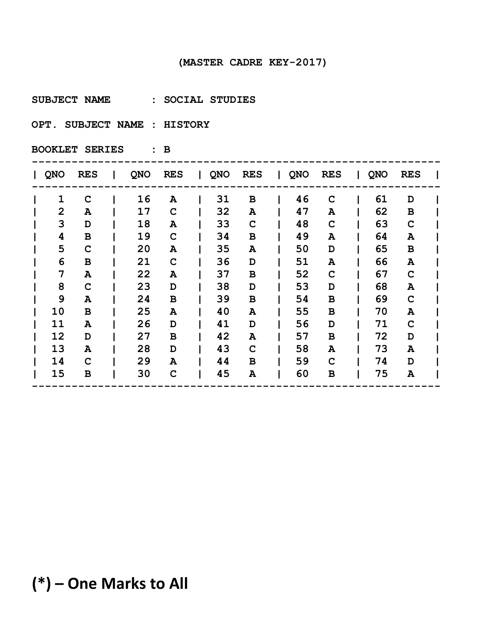**SUBJECT NAME : SOCIAL STUDIES** 

**OPT. SUBJECT NAME : HISTORY** 

**BOOKLET SERIES : B**

| QNO            | <b>RES</b>   | QNO | <b>RES</b> | $\mathbf{L}$ | QNO | <b>RES</b>  | QNO | <b>RES</b>  | QNO | <b>RES</b>   |  |
|----------------|--------------|-----|------------|--------------|-----|-------------|-----|-------------|-----|--------------|--|
| $\mathbf{1}$   | $\mathbf C$  | 16  | A          |              | 31  | B           | 46  | C           | 61  | D            |  |
| $\overline{2}$ | A            | 17  | C          |              | 32  | A           | 47  | A           | 62  | $\, {\bf B}$ |  |
| 3              | D            | 18  | A          |              | 33  | $\mathbf C$ | 48  | C           | 63  | $\mathbf C$  |  |
| 4              | $\, {\bf B}$ | 19  | C          |              | 34  | В           | 49  | A           | 64  | A            |  |
| 5              | C            | 20  | Α          |              | 35  | A           | 50  | D           | 65  | B            |  |
| 6              | $\, {\bf B}$ | 21  | C          |              | 36  | D           | 51  | A           | 66  | ${\bf A}$    |  |
| 7              | A            | 22  | Α          |              | 37  | B           | 52  | $\mathbf C$ | 67  | $\mathbf C$  |  |
| 8              | $\mathbf C$  | 23  | D          |              | 38  | D           | 53  | D           | 68  | ${\bf A}$    |  |
| 9              | A            | 24  | В          |              | 39  | B           | 54  | В           | 69  | $\mathbf C$  |  |
| 10             | B            | 25  | Α          |              | 40  | A           | 55  | В           | 70  | A            |  |
| 11             | A            | 26  | D          |              | 41  | D           | 56  | D           | 71  | $\mathbf C$  |  |
| 12             | D            | 27  | B          |              | 42  | A           | 57  | в           | 72  | D            |  |
| 13             | A            | 28  | D          |              | 43  | C           | 58  | A           | 73  | A            |  |
| 14             | C            | 29  | A          |              | 44  | В           | 59  | C           | 74  | D            |  |
| 15             | B            | 30  | C          |              | 45  | A           | 60  | в           | 75  | A            |  |
|                |              |     |            |              |     |             |     |             |     |              |  |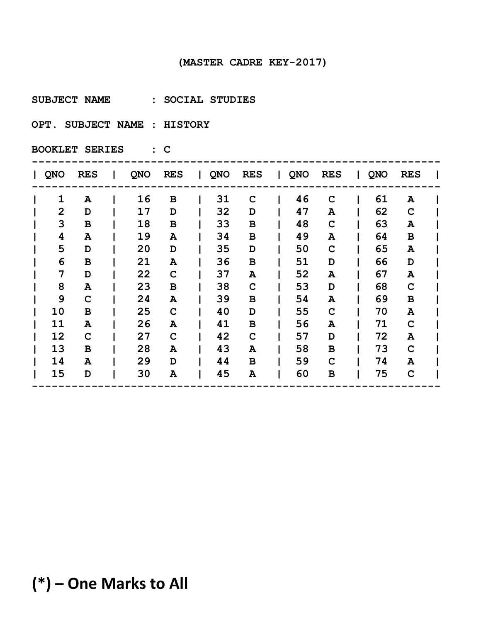**SUBJECT NAME : SOCIAL STUDIES** 

**OPT. SUBJECT NAME : HISTORY** 

**BOOKLET SERIES : C**

| QNO            | <b>RES</b>   | QNO | <b>RES</b> | $\mathbf{L}$ | QNO | <b>RES</b>   | QNO | <b>RES</b>  | QNO | <b>RES</b>  |  |
|----------------|--------------|-----|------------|--------------|-----|--------------|-----|-------------|-----|-------------|--|
| $\mathbf{1}$   | A            | 16  | В          |              | 31  | C            | 46  | C           | 61  | A           |  |
| $\overline{2}$ | D            | 17  | D          |              | 32  | D            | 47  | A           | 62  | $\mathbf C$ |  |
| 3              | $\, {\bf B}$ | 18  | В          |              | 33  | В            | 48  | C           | 63  | A           |  |
| 4              | A            | 19  | Α          |              | 34  | В            | 49  | A           | 64  | $\mathbf B$ |  |
| 5              | D            | 20  | D          |              | 35  | D            | 50  | C           | 65  | A           |  |
| 6              | $\, {\bf B}$ | 21  | Α          |              | 36  | $\, {\bf B}$ | 51  | D           | 66  | D           |  |
| 7              | D            | 22  | C          |              | 37  | A            | 52  | A           | 67  | A           |  |
| 8              | ${\bf A}$    | 23  | в          |              | 38  | $\mathbf C$  | 53  | D           | 68  | $\mathbf C$ |  |
| 9              | $\mathbf C$  | 24  | Α          |              | 39  | В            | 54  | A           | 69  | B           |  |
| 10             | B            | 25  | C          |              | 40  | D            | 55  | $\mathbf C$ | 70  | A           |  |
| 11             | A            | 26  | Α          |              | 41  | B            | 56  | A           | 71  | $\mathbf C$ |  |
| 12             | $\mathbf C$  | 27  | C          |              | 42  | $\mathbf C$  | 57  | D           | 72  | A           |  |
| 13             | B            | 28  | Α          |              | 43  | A            | 58  | В           | 73  | $\mathbf C$ |  |
| 14             | A            | 29  | D          |              | 44  | B            | 59  | $\mathbf C$ | 74  | A           |  |
| 15             | D            | 30  | Α          |              | 45  | A            | 60  | в           | 75  | $\mathbf C$ |  |
|                |              |     |            |              |     |              |     |             |     |             |  |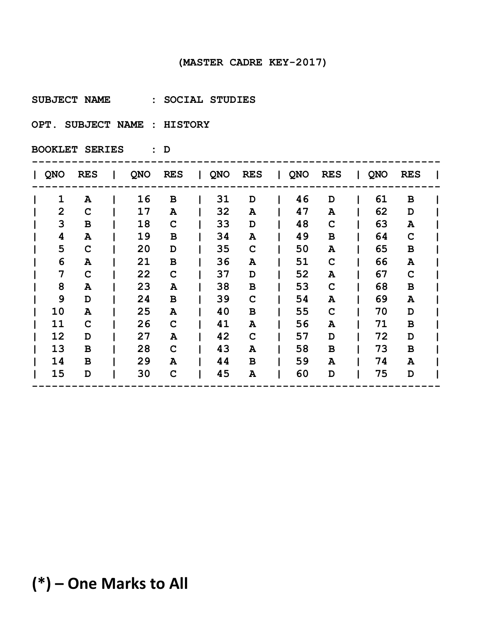**SUBJECT NAME : SOCIAL STUDIES** 

**OPT. SUBJECT NAME : HISTORY** 

**BOOKLET SERIES : D**

| QNO            | <b>RES</b>  | QNO | <b>RES</b> | $\mathbf{L}$ | QNO | <b>RES</b>   | QNO | <b>RES</b>  | QNO | <b>RES</b>   |  |
|----------------|-------------|-----|------------|--------------|-----|--------------|-----|-------------|-----|--------------|--|
| 1              | A           | 16  | В          |              | 31  | D            | 46  | D           | 61  | B            |  |
| $\overline{2}$ | C           | 17  | A          |              | 32  | A            | 47  | A           | 62  | D            |  |
| 3              | B           | 18  | C          |              | 33  | D            | 48  | C           | 63  | ${\bf A}$    |  |
| 4              | A           | 19  | в          |              | 34  | A            | 49  | в           | 64  | $\mathbf C$  |  |
| 5              | C           | 20  | D          |              | 35  | C            | 50  | A           | 65  | B            |  |
| 6              | A           | 21  | В          |              | 36  | A            | 51  | $\mathbf C$ | 66  | ${\bf A}$    |  |
| 7              | $\mathbf C$ | 22  | C          |              | 37  | D            | 52  | A           | 67  | $\mathbf C$  |  |
| 8              | A           | 23  | Α          |              | 38  | $\, {\bf B}$ | 53  | $\mathbf C$ | 68  | $\, {\bf B}$ |  |
| 9              | D           | 24  | В          |              | 39  | $\mathbf C$  | 54  | A           | 69  | A            |  |
| 10             | A           | 25  | Α          |              | 40  | В            | 55  | $\mathbf C$ | 70  | D            |  |
| 11             | C           | 26  | C          |              | 41  | A            | 56  | A           | 71  | $\, {\bf B}$ |  |
| 12             | D           | 27  | Α          |              | 42  | $\mathbf C$  | 57  | D           | 72  | D            |  |
| 13             | B           | 28  | C          |              | 43  | A            | 58  | в           | 73  | B            |  |
| 14             | B           | 29  | A          |              | 44  | B            | 59  | A           | 74  | A            |  |
| 15             | D           | 30  | C          |              | 45  | A            | 60  | D           | 75  | D            |  |
|                |             |     |            |              |     |              |     |             |     |              |  |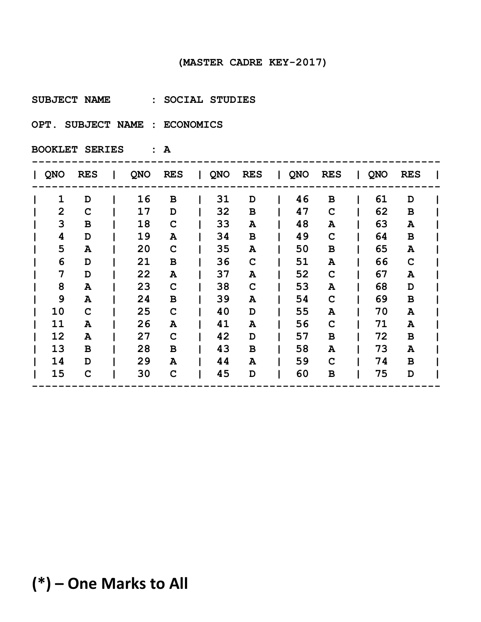**SUBJECT NAME : SOCIAL STUDIES** 

**OPT. SUBJECT NAME : ECONOMICS** 

**BOOKLET SERIES : A**

| QNO            | <b>RES</b> | QNO | <b>RES</b> | $\mathbf{I}$ | QNO | <b>RES</b>  | QNO | <b>RES</b>  | QNO | <b>RES</b>  |  |
|----------------|------------|-----|------------|--------------|-----|-------------|-----|-------------|-----|-------------|--|
| $\mathbf{1}$   | D          | 16  | В          |              | 31  | D           | 46  | в           | 61  | D           |  |
| $\overline{2}$ | C          | 17  | D          |              | 32  | B           | 47  | C           | 62  | $\mathbf B$ |  |
| 3              | В          | 18  | C          |              | 33  | A           | 48  | A           | 63  | ${\bf A}$   |  |
| 4              | D          | 19  | Α          |              | 34  | B           | 49  | $\mathbf C$ | 64  | B           |  |
| 5              | A          | 20  | C          |              | 35  | A           | 50  | в           | 65  | A           |  |
| 6              | D          | 21  | В          |              | 36  | $\mathbf C$ | 51  | A           | 66  | $\mathbf C$ |  |
| 7              | D          | 22  | Α          |              | 37  | A           | 52  | $\mathbf C$ | 67  | A           |  |
| 8              | A          | 23  | C          |              | 38  | $\mathbf C$ | 53  | A           | 68  | D           |  |
| 9              | A          | 24  | В          |              | 39  | A           | 54  | C           | 69  | B           |  |
| 10             | C          | 25  | C          |              | 40  | D           | 55  | A           | 70  | A           |  |
| 11             | A          | 26  | Α          |              | 41  | A           | 56  | $\mathbf C$ | 71  | A           |  |
| 12             | A          | 27  | C          |              | 42  | D           | 57  | в           | 72  | B           |  |
| 13             | B          | 28  | в          |              | 43  | B           | 58  | A           | 73  | A           |  |
| 14             | D          | 29  | A          |              | 44  | A           | 59  | C           | 74  | B           |  |
| 15             | C          | 30  | C          |              | 45  | D           | 60  | в           | 75  | D           |  |
|                |            |     |            |              |     |             |     |             |     |             |  |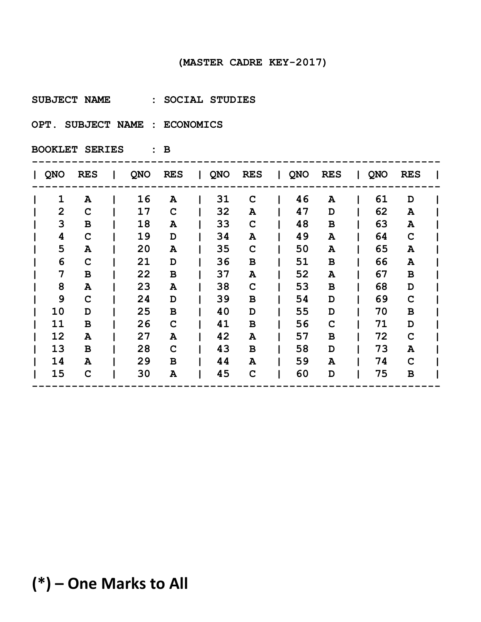**SUBJECT NAME : SOCIAL STUDIES** 

**OPT. SUBJECT NAME : ECONOMICS** 

**BOOKLET SERIES : B**

| <b>QNO</b>     | <b>RES</b>  | QNO | <b>RES</b>  | $\mathbf{L}$ | QNO | <b>RES</b>  | QNO | <b>RES</b>  | QNO | <b>RES</b>  |  |
|----------------|-------------|-----|-------------|--------------|-----|-------------|-----|-------------|-----|-------------|--|
| 1              | A           | 16  | A           |              | 31  | C           | 46  | A           | 61  | D           |  |
| $\overline{2}$ | $\mathbf C$ | 17  | $\mathbf C$ |              | 32  | A           | 47  | D           | 62  | A           |  |
| 3              | В           | 18  | A           |              | 33  | $\mathbf C$ | 48  | В           | 63  | A           |  |
| 4              | $\mathbf C$ | 19  | D           |              | 34  | A           | 49  | A           | 64  | $\mathbf C$ |  |
| 5              | A           | 20  | A           |              | 35  | $\mathbf C$ | 50  | A           | 65  | A           |  |
| 6              | $\mathbf C$ | 21  | D           |              | 36  | В           | 51  | В           | 66  | A           |  |
| 7              | B           | 22  | В           |              | 37  | A           | 52  | A           | 67  | B           |  |
| 8              | A           | 23  | A           |              | 38  | $\mathbf C$ | 53  | В           | 68  | D           |  |
| 9              | $\mathbf C$ | 24  | D           |              | 39  | В           | 54  | D           | 69  | C           |  |
| 10             | D           | 25  | B           |              | 40  | D           | 55  | D           | 70  | B           |  |
| 11             | $\mathbf B$ | 26  | $\mathbf C$ |              | 41  | $\mathbf B$ | 56  | $\mathbf C$ | 71  | D           |  |
| 12             | A           | 27  | Α           |              | 42  | A           | 57  | B           | 72  | $\mathbf C$ |  |
| 13             | B           | 28  | $\mathbf C$ |              | 43  | В           | 58  | D           | 73  | A           |  |
| 14             | A           | 29  | B           |              | 44  | A           | 59  | A           | 74  | $\mathbf C$ |  |
| 15             | C           | 30  | A           |              | 45  | C           | 60  | D           | 75  | $\mathbf B$ |  |
|                |             |     |             |              |     |             |     |             |     |             |  |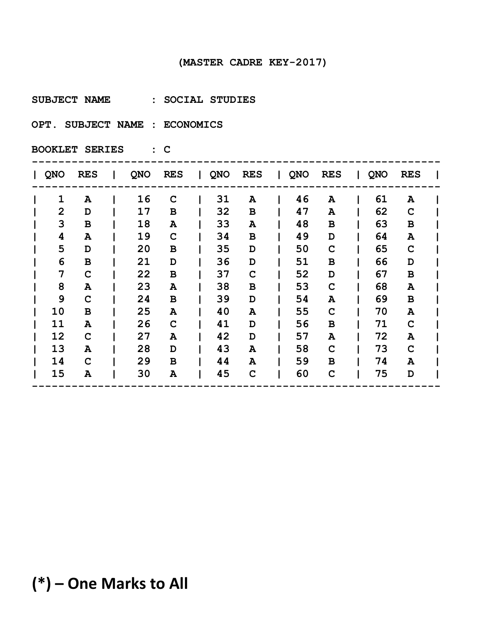**SUBJECT NAME : SOCIAL STUDIES** 

**OPT. SUBJECT NAME : ECONOMICS** 

**BOOKLET SERIES : C**

| <b>QNO</b>     | <b>RES</b>  | QNO | <b>RES</b>  | $\mathbf{L}$ | QNO | <b>RES</b>  | QNO | <b>RES</b>  | QNO | <b>RES</b>   |  |
|----------------|-------------|-----|-------------|--------------|-----|-------------|-----|-------------|-----|--------------|--|
| 1              | A           | 16  | $\mathbf C$ |              | 31  | A           | 46  | A           | 61  | A            |  |
| $\overline{2}$ | D           | 17  | B           |              | 32  | B           | 47  | Α           | 62  | $\mathbf C$  |  |
| 3              | В           | 18  | A           |              | 33  | A           | 48  | В           | 63  | $\, {\bf B}$ |  |
| 4              | A           | 19  | $\mathbf C$ |              | 34  | В           | 49  | D           | 64  | ${\bf A}$    |  |
| 5              | D           | 20  | B           |              | 35  | D           | 50  | $\mathbf C$ | 65  | $\mathbf C$  |  |
| 6              | $\mathbf B$ | 21  | D           |              | 36  | D           | 51  | в           | 66  | D            |  |
| 7              | $\mathbf C$ | 22  | В           |              | 37  | C           | 52  | D           | 67  | $\, {\bf B}$ |  |
| 8              | A           | 23  | Α           |              | 38  | В           | 53  | $\mathbf C$ | 68  | ${\bf A}$    |  |
| 9              | $\mathbf C$ | 24  | B           |              | 39  | D           | 54  | A           | 69  | B            |  |
| 10             | B           | 25  | A           |              | 40  | A           | 55  | $\mathbf C$ | 70  | A            |  |
| 11             | A           | 26  | $\mathbf C$ |              | 41  | D           | 56  | B           | 71  | $\mathbf C$  |  |
| 12             | C           | 27  | Α           |              | 42  | D           | 57  | A           | 72  | A            |  |
| 13             | A           | 28  | D           |              | 43  | A           | 58  | C           | 73  | $\mathbf C$  |  |
| 14             | $\mathbf C$ | 29  | B           |              | 44  | A           | 59  | в           | 74  | A            |  |
| 15             | A           | 30  | Α           |              | 45  | $\mathbf C$ | 60  | $\mathbf C$ | 75  | D            |  |
|                |             |     |             |              |     |             |     |             |     |              |  |